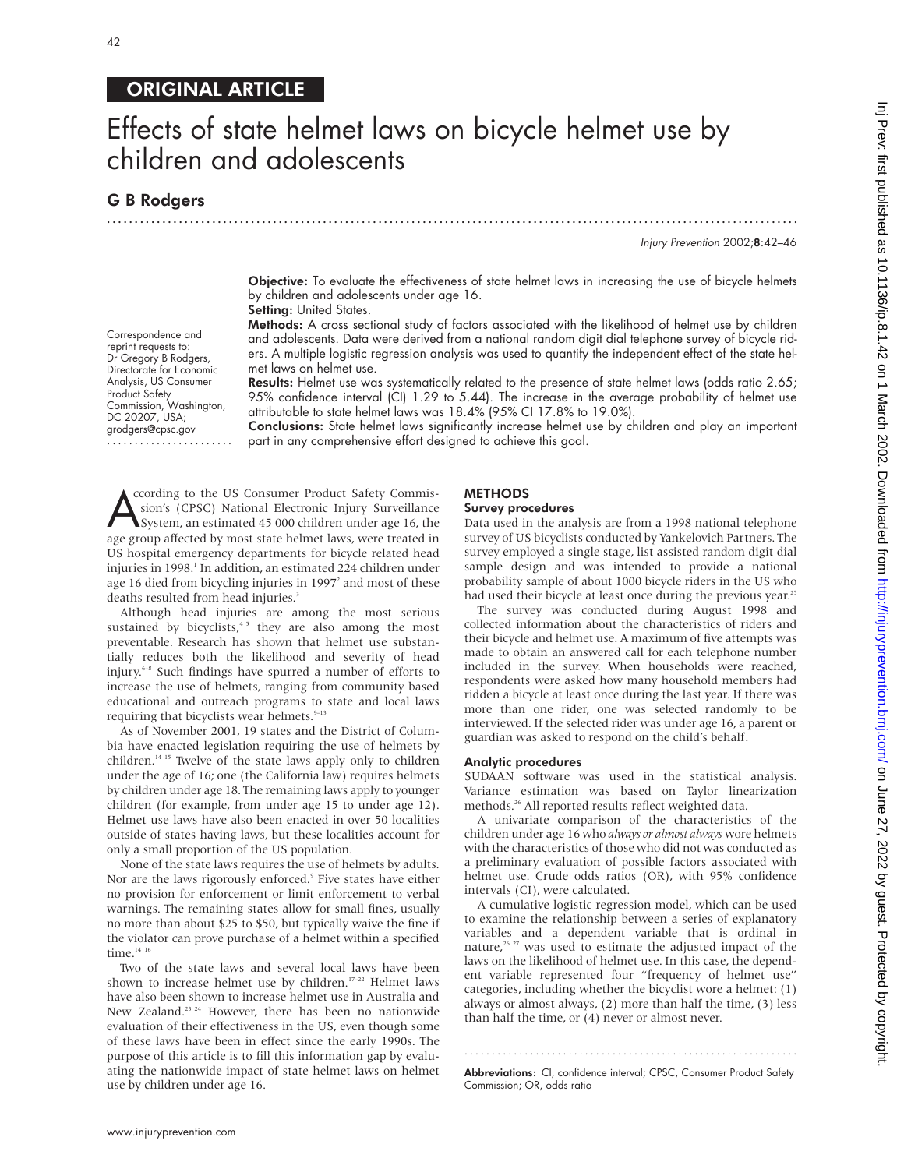## ORIGINAL ARTICLE

# Effects of state helmet laws on bicycle helmet use by children and adolescents

### G B Rodgers

Correspondence and reprint requests to: Dr Gregory B Rodgers, Directorate for Economic Analysis, US Consumer Product Safety

Commission, Washington, DC 20207, USA; grodgers@cpsc.gov .......................

.............................................................................................................................

Injury Prevention 2002;8:42–46

Objective: To evaluate the effectiveness of state helmet laws in increasing the use of bicycle helmets by children and adolescents under age 16. Setting: United States.

Methods: A cross sectional study of factors associated with the likelihood of helmet use by children and adolescents. Data were derived from a national random digit dial telephone survey of bicycle riders. A multiple logistic regression analysis was used to quantify the independent effect of the state helmet laws on helmet use.

Results: Helmet use was systematically related to the presence of state helmet laws (odds ratio 2.65; 95% confidence interval (CI) 1.29 to 5.44). The increase in the average probability of helmet use attributable to state helmet laws was 18.4% (95% CI 17.8% to 19.0%).

Conclusions: State helmet laws significantly increase helmet use by children and play an important part in any comprehensive effort designed to achieve this goal.

Coording to the US Consumer Product Safety Commission's (CPSC) National Electronic Injury Surveillance<br>System, an estimated 45 000 children under age 16, the<br>age group affected by most state helmet laws, were treated in ccording to the US Consumer Product Safety Commission's (CPSC) National Electronic Injury Surveillance System, an estimated 45 000 children under age 16, the US hospital emergency departments for bicycle related head injuries in 1998.<sup>1</sup> In addition, an estimated 224 children under age 16 died from bicycling injuries in 1997<sup>2</sup> and most of these deaths resulted from head injuries.<sup>3</sup>

Although head injuries are among the most serious sustained by bicyclists, $45$  they are also among the most preventable. Research has shown that helmet use substantially reduces both the likelihood and severity of head injury.6–8 Such findings have spurred a number of efforts to increase the use of helmets, ranging from community based educational and outreach programs to state and local laws requiring that bicyclists wear helmets.<sup>9-13</sup>

As of November 2001, 19 states and the District of Columbia have enacted legislation requiring the use of helmets by children.<sup>14 15</sup> Twelve of the state laws apply only to children under the age of 16; one (the California law) requires helmets by children under age 18. The remaining laws apply to younger children (for example, from under age 15 to under age 12). Helmet use laws have also been enacted in over 50 localities outside of states having laws, but these localities account for only a small proportion of the US population.

None of the state laws requires the use of helmets by adults. Nor are the laws rigorously enforced.<sup>9</sup> Five states have either no provision for enforcement or limit enforcement to verbal warnings. The remaining states allow for small fines, usually no more than about \$25 to \$50, but typically waive the fine if the violator can prove purchase of a helmet within a specified time. $14$  16

Two of the state laws and several local laws have been shown to increase helmet use by children.<sup>17-22</sup> Helmet laws have also been shown to increase helmet use in Australia and New Zealand.<sup>23 24</sup> However, there has been no nationwide evaluation of their effectiveness in the US, even though some of these laws have been in effect since the early 1990s. The purpose of this article is to fill this information gap by evaluating the nationwide impact of state helmet laws on helmet use by children under age 16.

## METHODS

#### Survey procedures

Data used in the analysis are from a 1998 national telephone survey of US bicyclists conducted by Yankelovich Partners. The survey employed a single stage, list assisted random digit dial sample design and was intended to provide a national probability sample of about 1000 bicycle riders in the US who had used their bicycle at least once during the previous year.<sup>25</sup>

The survey was conducted during August 1998 and collected information about the characteristics of riders and their bicycle and helmet use. A maximum of five attempts was made to obtain an answered call for each telephone number included in the survey. When households were reached, respondents were asked how many household members had ridden a bicycle at least once during the last year. If there was more than one rider, one was selected randomly to be interviewed. If the selected rider was under age 16, a parent or guardian was asked to respond on the child's behalf.

#### Analytic procedures

SUDAAN software was used in the statistical analysis. Variance estimation was based on Taylor linearization methods.<sup>26</sup> All reported results reflect weighted data.

A univariate comparison of the characteristics of the children under age 16 who *always or almost always* wore helmets with the characteristics of those who did not was conducted as a preliminary evaluation of possible factors associated with helmet use. Crude odds ratios (OR), with 95% confidence intervals (CI), were calculated.

A cumulative logistic regression model, which can be used to examine the relationship between a series of explanatory variables and a dependent variable that is ordinal in nature,<sup>26 27</sup> was used to estimate the adjusted impact of the laws on the likelihood of helmet use. In this case, the dependent variable represented four "frequency of helmet use" categories, including whether the bicyclist wore a helmet: (1) always or almost always, (2) more than half the time, (3) less than half the time, or (4) never or almost never.

Abbreviations: CI, confidence interval; CPSC, Consumer Product Safety Commission; OR, odds ratio

.............................................................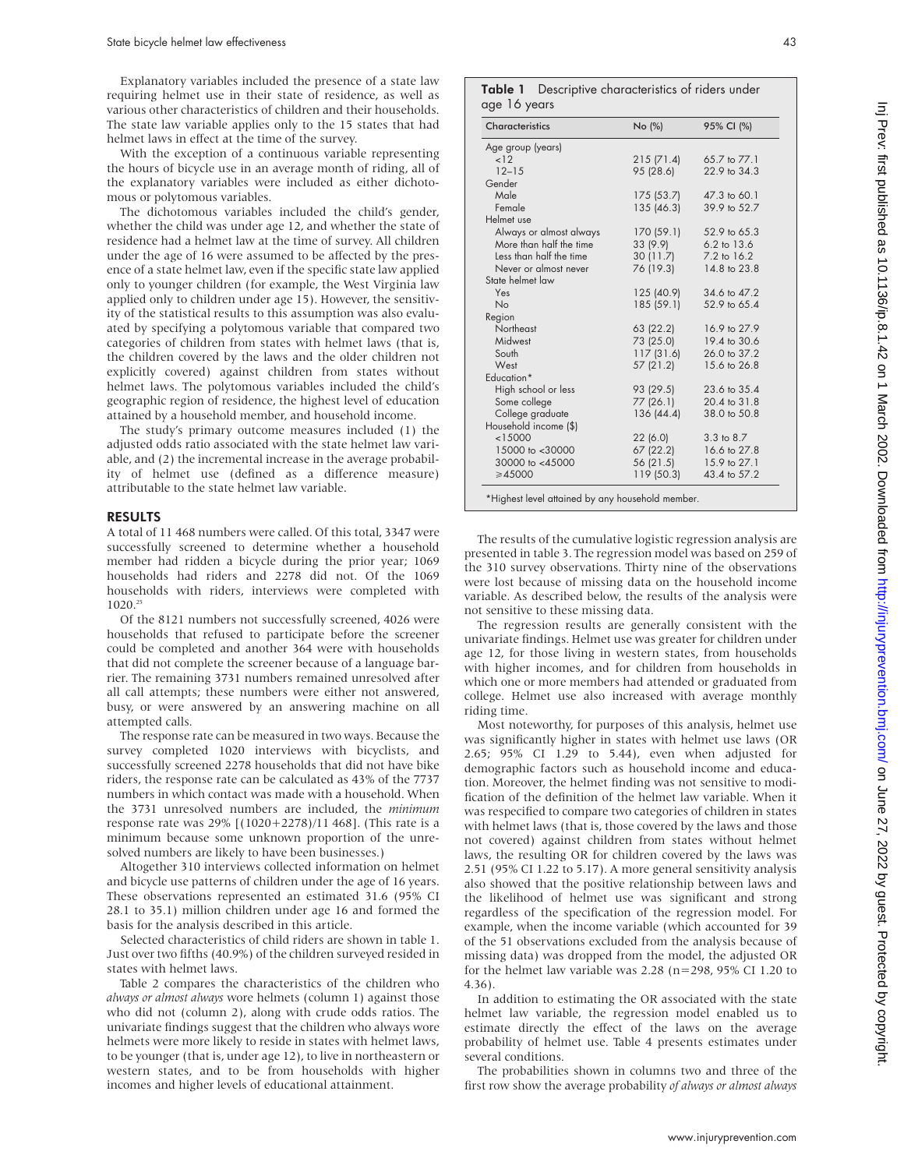Explanatory variables included the presence of a state law requiring helmet use in their state of residence, as well as various other characteristics of children and their households. The state law variable applies only to the 15 states that had helmet laws in effect at the time of the survey.

With the exception of a continuous variable representing the hours of bicycle use in an average month of riding, all of the explanatory variables were included as either dichotomous or polytomous variables.

The dichotomous variables included the child's gender, whether the child was under age 12, and whether the state of residence had a helmet law at the time of survey. All children under the age of 16 were assumed to be affected by the presence of a state helmet law, even if the specific state law applied only to younger children (for example, the West Virginia law applied only to children under age 15). However, the sensitivity of the statistical results to this assumption was also evaluated by specifying a polytomous variable that compared two categories of children from states with helmet laws (that is, the children covered by the laws and the older children not explicitly covered) against children from states without helmet laws. The polytomous variables included the child's geographic region of residence, the highest level of education attained by a household member, and household income.

The study's primary outcome measures included (1) the adjusted odds ratio associated with the state helmet law variable, and (2) the incremental increase in the average probability of helmet use (defined as a difference measure) attributable to the state helmet law variable.

#### RESULTS

A total of 11 468 numbers were called. Of this total, 3347 were successfully screened to determine whether a household member had ridden a bicycle during the prior year; 1069 households had riders and 2278 did not. Of the 1069 households with riders, interviews were completed with  $1020.<sup>25</sup>$ 

Of the 8121 numbers not successfully screened, 4026 were households that refused to participate before the screener could be completed and another 364 were with households that did not complete the screener because of a language barrier. The remaining 3731 numbers remained unresolved after all call attempts; these numbers were either not answered, busy, or were answered by an answering machine on all attempted calls.

The response rate can be measured in two ways. Because the survey completed 1020 interviews with bicyclists, and successfully screened 2278 households that did not have bike riders, the response rate can be calculated as 43% of the 7737 numbers in which contact was made with a household. When the 3731 unresolved numbers are included, the *minimum* response rate was 29% [(1020+2278)/11 468]. (This rate is a minimum because some unknown proportion of the unresolved numbers are likely to have been businesses.)

Altogether 310 interviews collected information on helmet and bicycle use patterns of children under the age of 16 years. These observations represented an estimated 31.6 (95% CI 28.1 to 35.1) million children under age 16 and formed the basis for the analysis described in this article.

Selected characteristics of child riders are shown in table 1. Just over two fifths (40.9%) of the children surveyed resided in states with helmet laws.

Table 2 compares the characteristics of the children who *always or almost always* wore helmets (column 1) against those who did not (column 2), along with crude odds ratios. The univariate findings suggest that the children who always wore helmets were more likely to reside in states with helmet laws, to be younger (that is, under age 12), to live in northeastern or western states, and to be from households with higher incomes and higher levels of educational attainment.

Table 1 Descriptive characteristics of riders under age 16 years

| Characteristics         | No (%)     | 95% CI (%)     |
|-------------------------|------------|----------------|
| Age group (years)       |            |                |
| < 12                    | 215(71.4)  | 65.7 to 77.1   |
| $12 - 15$               | 95 (28.6)  | 22.9 to 34.3   |
| Gender                  |            |                |
| Male                    | 175(53.7)  | 47.3 to 60.1   |
| Female                  | 135(46.3)  | 39.9 to 52.7   |
| Helmet use              |            |                |
| Always or almost always | 170(59.1)  | 52.9 to 65.3   |
| More than half the time | 33 (9.9)   | 6.2 to 13.6    |
| Less than half the time | 30 (11.7)  | 7.2 to 16.2    |
| Never or almost never   | 76 (19.3)  | 14.8 to 23.8   |
| State helmet law        |            |                |
| Yes                     | 125 (40.9) | 34.6 to 47.2   |
| <b>No</b>               | 185 (59.1) | 52.9 to 65.4   |
| Region                  |            |                |
| Northeast               | 63 (22.2)  | 16.9 to 27.9   |
| Midwest                 | 73 (25.0)  | 19.4 to 30.6   |
| South                   | 117(31.6)  | 26.0 to 37.2   |
| West                    | 57(21.2)   | 15.6 to 26.8   |
| Education*              |            |                |
| High school or less     | 93 (29.5)  | 23.6 to 35.4   |
| Some college            | 77 (26.1)  | 20.4 to 31.8   |
| College graduate        | 136 (44.4) | 38.0 to 50.8   |
| Household income (\$)   |            |                |
| < 15000                 | 22(6.0)    | $3.3$ to $8.7$ |
| 15000 to <30000         | 67 (22.2)  | 16.6 to 27.8   |
| 30000 to <45000         | 56 (21.5)  | 15.9 to 27.1   |
| ≥45000                  | 119(50.3)  | 43.4 to 57.2   |

The results of the cumulative logistic regression analysis are presented in table 3. The regression model was based on 259 of the 310 survey observations. Thirty nine of the observations were lost because of missing data on the household income variable. As described below, the results of the analysis were not sensitive to these missing data.

The regression results are generally consistent with the univariate findings. Helmet use was greater for children under age 12, for those living in western states, from households with higher incomes, and for children from households in which one or more members had attended or graduated from college. Helmet use also increased with average monthly riding time.

Most noteworthy, for purposes of this analysis, helmet use was significantly higher in states with helmet use laws (OR 2.65; 95% CI 1.29 to 5.44), even when adjusted for demographic factors such as household income and education. Moreover, the helmet finding was not sensitive to modification of the definition of the helmet law variable. When it was respecified to compare two categories of children in states with helmet laws (that is, those covered by the laws and those not covered) against children from states without helmet laws, the resulting OR for children covered by the laws was 2.51 (95% CI 1.22 to 5.17). A more general sensitivity analysis also showed that the positive relationship between laws and the likelihood of helmet use was significant and strong regardless of the specification of the regression model. For example, when the income variable (which accounted for 39 of the 51 observations excluded from the analysis because of missing data) was dropped from the model, the adjusted OR for the helmet law variable was 2.28 (n=298, 95% CI 1.20 to 4.36).

In addition to estimating the OR associated with the state helmet law variable, the regression model enabled us to estimate directly the effect of the laws on the average probability of helmet use. Table 4 presents estimates under several conditions.

The probabilities shown in columns two and three of the first row show the average probability *of always or almost always*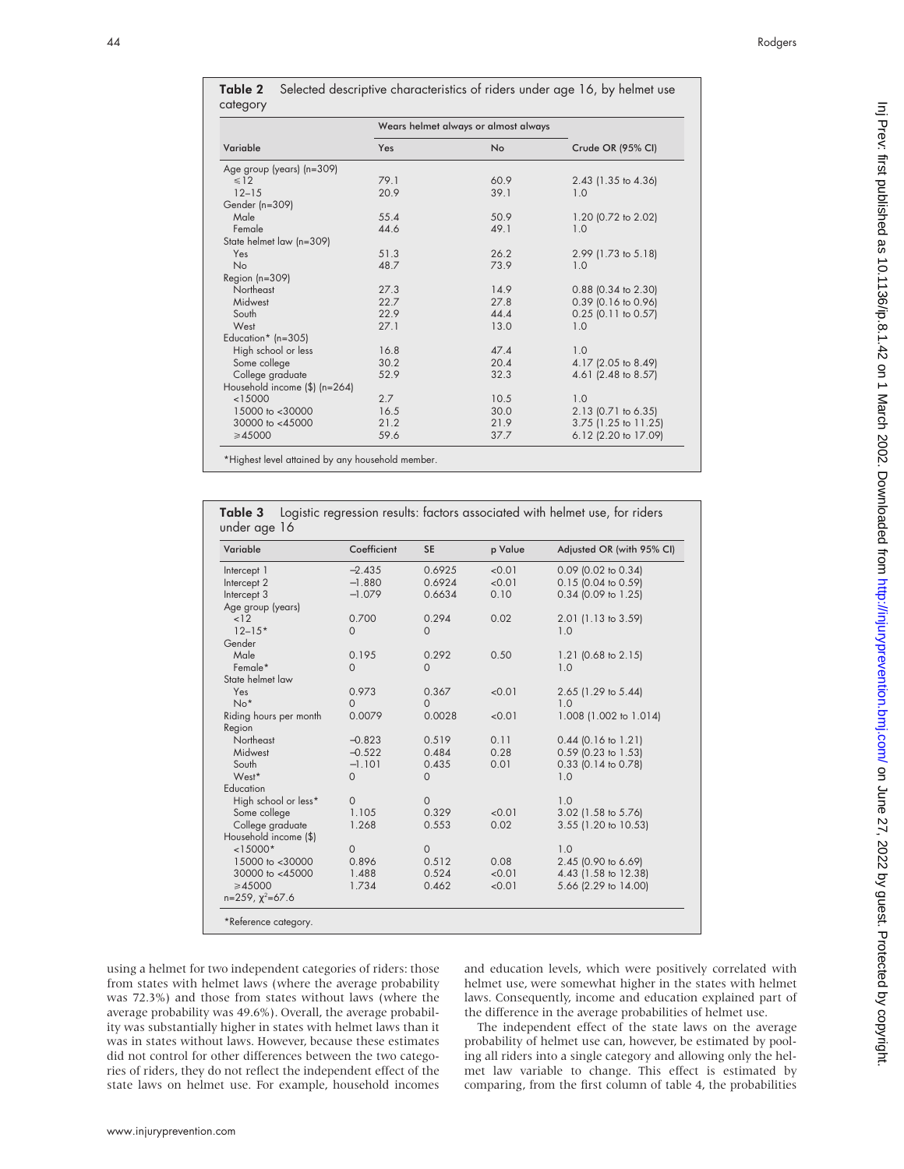|                                          | Wears helmet always or almost always |             |         |                                                                             |
|------------------------------------------|--------------------------------------|-------------|---------|-----------------------------------------------------------------------------|
| Variable                                 | Yes                                  |             | No      | Crude OR (95% CI)                                                           |
| Age group (years) (n=309)                |                                      |             |         |                                                                             |
| $\leq 12$                                | 79.1                                 |             | 60.9    | 2.43 (1.35 to 4.36)                                                         |
| $12 - 15$                                | 20.9                                 |             | 39.1    | 1.0                                                                         |
| Gender (n=309)                           |                                      |             |         |                                                                             |
| Male                                     | 55.4                                 |             | 50.9    | 1.20 (0.72 to 2.02)                                                         |
| Female                                   | 44.6                                 |             | 49.1    | 1.0                                                                         |
| State helmet law (n=309)                 |                                      |             |         |                                                                             |
| Yes                                      | 51.3                                 |             | 26.2    | 2.99 (1.73 to 5.18)                                                         |
| No                                       | 48.7                                 |             | 73.9    | 1.0                                                                         |
| Region (n=309)<br>Northeast              | 27.3                                 |             | 14.9    | $0.88$ (0.34 to 2.30)                                                       |
| Midwest                                  | 22.7                                 |             | 27.8    | $0.39$ (0.16 to 0.96)                                                       |
| South                                    | 22.9                                 |             | 44.4    | $0.25$ (0.11 to 0.57)                                                       |
| West                                     | 27.1                                 |             | 13.0    | 1.0                                                                         |
| Education* ( $n=305$ )                   |                                      |             |         |                                                                             |
| High school or less                      | 16.8                                 |             | 47.4    | 1.0                                                                         |
| Some college                             | 30.2                                 |             | 20.4    | 4.17 (2.05 to 8.49)                                                         |
| College graduate                         | 52.9                                 |             | 32.3    | 4.61 (2.48 to 8.57)                                                         |
| Household income $(\frac{5}{2})$ (n=264) |                                      |             |         |                                                                             |
| < 15000                                  | 2.7                                  |             | 10.5    | 1.0                                                                         |
| 15000 to <30000                          | 16.5                                 |             | 30.0    | 2.13 (0.71 to 6.35)                                                         |
| 30000 to <45000                          | 21.2                                 |             | 21.9    | 3.75 (1.25 to 11.25)                                                        |
| ≥45000                                   | 59.6                                 |             | 37.7    | 6.12 (2.20 to 17.09)                                                        |
| Table 3<br>under age 16                  |                                      |             |         | Logistic regression results: factors associated with helmet use, for riders |
| Variable                                 | Coefficient                          |             |         |                                                                             |
|                                          |                                      | SE          | p Value | Adjusted OR (with 95% CI)                                                   |
| Intercept 1                              | $-2.435$                             | 0.6925      | 0.01    | $0.09$ (0.02 to 0.34)                                                       |
| Intercept 2                              | $-1.880$                             | 0.6924      | 0.01    | $0.15$ (0.04 to 0.59)                                                       |
| Intercept 3                              | $-1.079$                             | 0.6634      | 0.10    | $0.34$ (0.09 to 1.25)                                                       |
| Age group (years)                        |                                      |             |         |                                                                             |
| 12                                       | 0.700                                | 0.294       | 0.02    | $2.01$ (1.13 to 3.59)                                                       |
| $12 - 15*$                               | 0                                    | 0           |         | 1.0                                                                         |
| Gender                                   |                                      |             |         |                                                                             |
| Male                                     | 0.195                                | 0.292       | 0.50    | 1.21 $(0.68 \text{ to } 2.15)$                                              |
| Female*                                  | 0                                    | 0           |         | 1.0                                                                         |
| State helmet law                         |                                      |             |         |                                                                             |
| Yes                                      | 0.973                                | 0.367       | 0.01    | 2.65 (1.29 to 5.44)                                                         |
| $No*$                                    | 0<br>0.0079                          | 0<br>0.0028 | 0.01    | 1.0<br>1.008 (1.002 to 1.014)                                               |
| Riding hours per month                   |                                      |             |         |                                                                             |
| Region<br>Northeast                      | $-0.823$                             | 0.519       | 0.11    |                                                                             |
| Midwest                                  | $-0.522$                             | 0.484       | 0.28    | $0.44$ (0.16 to 1.21)<br>$0.59$ (0.23 to 1.53)                              |
| South                                    | $-1.101$                             | 0.435       | 0.01    | $0.33$ (0.14 to 0.78)                                                       |
| West*                                    | $\mathbf 0$                          | 0           |         | 1.0                                                                         |
| Education                                |                                      |             |         |                                                                             |
| High school or less*                     | 0                                    | 0           |         | 1.0                                                                         |
| Some college                             | 1.105                                | 0.329       | < 0.01  | 3.02 (1.58 to 5.76)                                                         |
| College graduate                         | 1.268                                | 0.553       | 0.02    | 3.55 (1.20 to 10.53)                                                        |
| Household income (\$)                    |                                      |             |         |                                                                             |
| $< 15000*$                               | 0                                    | 0           |         | 1.0                                                                         |
| 15000 to <30000                          | 0.896                                | 0.512       | 0.08    | 2.45 (0.90 to 6.69)                                                         |
| 30000 to <45000                          | 1.488                                | 0.524       | < 0.01  | 4.43 (1.58 to 12.38)                                                        |
| ≥45000                                   | 1.734                                | 0.462       | 0.01    | 5.66 (2.29 to 14.00)                                                        |
| $n=259$ , $\chi^2=67.6$                  |                                      |             |         |                                                                             |
|                                          |                                      |             |         |                                                                             |
| *Reference category.                     |                                      |             |         |                                                                             |

|          | Table 2 Selected descriptive characteristics of riders under age 16, by helmet use |
|----------|------------------------------------------------------------------------------------|
| category |                                                                                    |

using a helmet for two independent categories of riders: those from states with helmet laws (where the average probability was 72.3%) and those from states without laws (where the average probability was 49.6%). Overall, the average probability was substantially higher in states with helmet laws than it was in states without laws. However, because these estimates did not control for other differences between the two categories of riders, they do not reflect the independent effect of the state laws on helmet use. For example, household incomes

and education levels, which were positively correlated with helmet use, were somewhat higher in the states with helmet laws. Consequently, income and education explained part of the difference in the average probabilities of helmet use.

The independent effect of the state laws on the average probability of helmet use can, however, be estimated by pooling all riders into a single category and allowing only the helmet law variable to change. This effect is estimated by comparing, from the first column of table 4, the probabilities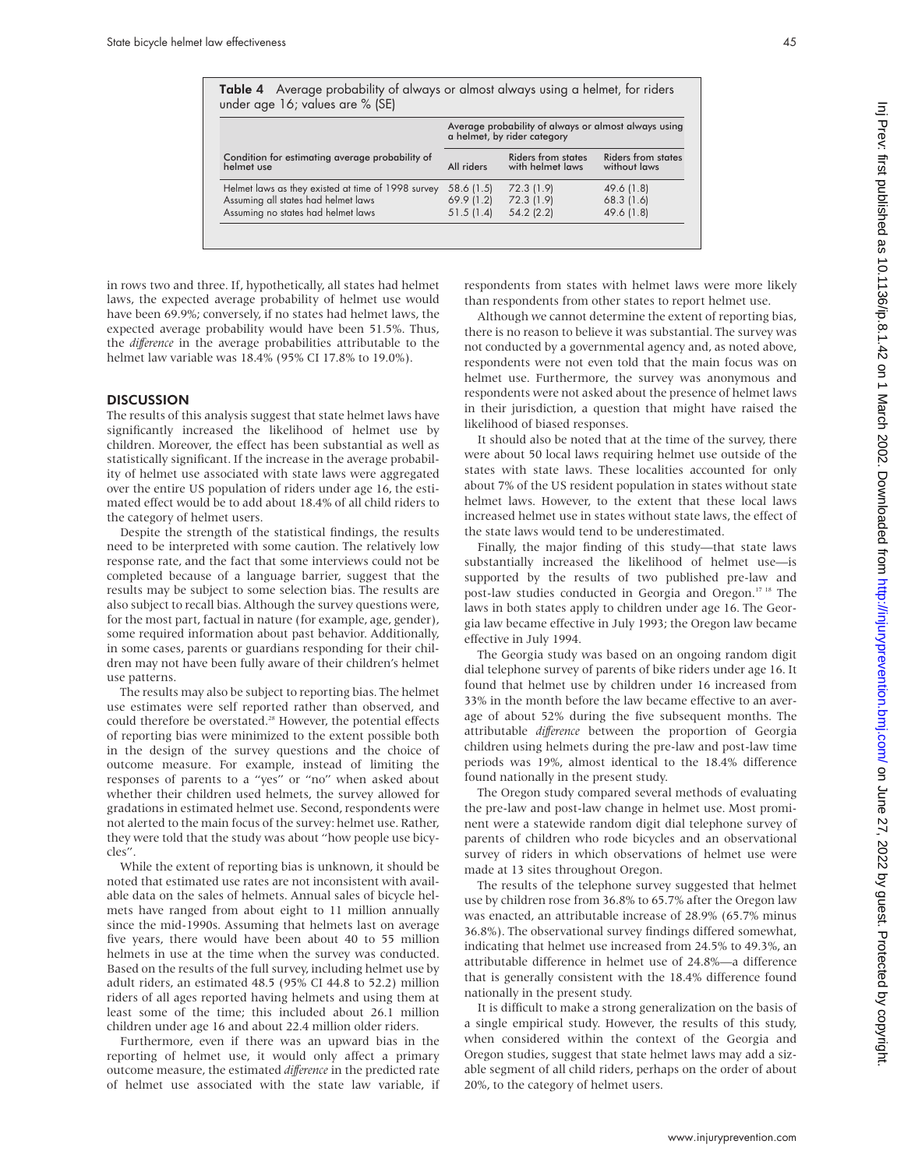| nore likely                                                                                                       |  |
|-------------------------------------------------------------------------------------------------------------------|--|
| et use.<br>orting bias,<br>survey was<br>oted above,<br>us was on<br>mous and<br>elmet laws<br>raised the         |  |
| rvey, there<br>side of the<br>d for only<br>thout state<br>local laws<br>he effect of                             |  |
| state laws<br>et use—is<br>e-law and<br>on. <sup>17 18</sup> The<br>The Geor-<br>aw became                        |  |
| ndom digit<br>er age 16. It<br>eased from<br>to an aver-<br>onths. The<br>of Georgia<br>st-law time<br>difference |  |
| evaluating<br>iost promi-<br>e survey of<br>servational<br>t use were                                             |  |
|                                                                                                                   |  |

Inj Prev: first published as 10.1136/ip.8.1.42 on 1 March 2002. Downloaded from http://injuryprevention.bm/ on June 27, 2022 by guest. Protected by copyright in Publist and 10.1138 by 2022 by guest. Protected by copyright. The summan of the state of the Summan of Desember as 10.2020 by copyright. Previews the set of  $2/2$  Order as 10.1136/ip.8.1.42 on 1 March 2002. Downloaded f

The results of the telephone survey suggested that helmet use by children rose from 36.8% to 65.7% after the Oregon law was enacted, an attributable increase of 28.9% (65.7% minus 36.8%). The observational survey findings differed somewhat, indicating that helmet use increased from 24.5% to 49.3%, an attributable difference in helmet use of 24.8%—a difference that is generally consistent with the 18.4% difference found nationally in the present study.

It is difficult to make a strong generalization on the basis of a single empirical study. However, the results of this study, when considered within the context of the Georgia and Oregon studies, suggest that state helmet laws may add a sizable segment of all child riders, perhaps on the order of about 20%, to the category of helmet users.

Table 4 Average probability of always or almost always using a helmet, for riders under age 16; values are % (SE)

|                                                               | Average probability of always or almost always using<br>a helmet, by rider category |                                               |                                           |  |
|---------------------------------------------------------------|-------------------------------------------------------------------------------------|-----------------------------------------------|-------------------------------------------|--|
| Condition for estimating average probability of<br>helmet use | All riders                                                                          | <b>Riders from states</b><br>with helmet laws | <b>Riders from states</b><br>without laws |  |
| Helmet laws as they existed at time of 1998 survey            | 58.6 (1.5)                                                                          | 72.3 (1.9)                                    | 49.6 (1.8)                                |  |
| Assuming all states had helmet laws                           | 69.9(1.2)                                                                           | 72.3 (1.9)                                    | $68.3$ (1.6)                              |  |
| Assuming no states had helmet laws                            | 51.5(1.4)                                                                           | $54.2$ (2.2)                                  | 49.6 (1.8)                                |  |

in rows two and three. If, hypothetically, all states had helmet laws, the expected average probability of helmet use would have been 69.9%; conversely, if no states had helmet laws, the expected average probability would have been 51.5%. Thus, the *difference* in the average probabilities attributable to the helmet law variable was 18.4% (95% CI 17.8% to 19.0%).

#### **DISCUSSION**

The results of this analysis suggest that state helmet laws have significantly increased the likelihood of helmet use by children. Moreover, the effect has been substantial as well as statistically significant. If the increase in the average probability of helmet use associated with state laws were aggregated over the entire US population of riders under age 16, the estimated effect would be to add about 18.4% of all child riders to the category of helmet users.

Despite the strength of the statistical findings, the results need to be interpreted with some caution. The relatively low response rate, and the fact that some interviews could not be completed because of a language barrier, suggest that the results may be subject to some selection bias. The results are also subject to recall bias. Although the survey questions were, for the most part, factual in nature (for example, age, gender), some required information about past behavior. Additionally, in some cases, parents or guardians responding for their children may not have been fully aware of their children's helmet use patterns.

The results may also be subject to reporting bias. The helmet use estimates were self reported rather than observed, and could therefore be overstated.<sup>28</sup> However, the potential effects of reporting bias were minimized to the extent possible both in the design of the survey questions and the choice of outcome measure. For example, instead of limiting the responses of parents to a "yes" or "no" when asked about whether their children used helmets, the survey allowed for gradations in estimated helmet use. Second, respondents were not alerted to the main focus of the survey: helmet use. Rather, they were told that the study was about "how people use bicycles".

While the extent of reporting bias is unknown, it should be noted that estimated use rates are not inconsistent with available data on the sales of helmets. Annual sales of bicycle helmets have ranged from about eight to 11 million annually since the mid-1990s. Assuming that helmets last on average five years, there would have been about 40 to 55 million helmets in use at the time when the survey was conducted. Based on the results of the full survey, including helmet use by adult riders, an estimated 48.5 (95% CI 44.8 to 52.2) million riders of all ages reported having helmets and using them at least some of the time; this included about 26.1 million children under age 16 and about 22.4 million older riders.

Furthermore, even if there was an upward bias in the reporting of helmet use, it would only affect a primary outcome measure, the estimated *difference* in the predicted rate of helmet use associated with the state law variable, if respondents from states with helmet laws were n than respondents from other states to report helme

Although we cannot determine the extent of report there is no reason to believe it was substantial. The not conducted by a governmental agency and, as no respondents were not even told that the main foc helmet use. Furthermore, the survey was anony respondents were not asked about the presence of h in their jurisdiction, a question that might have likelihood of biased responses.

It should also be noted that at the time of the surwere about 50 local laws requiring helmet use outs states with state laws. These localities accounted about 7% of the US resident population in states with helmet laws. However, to the extent that these increased helmet use in states without state laws, the the state laws would tend to be underestimated.

Finally, the major finding of this study—that substantially increased the likelihood of helme supported by the results of two published pr post-law studies conducted in Georgia and Orego laws in both states apply to children under age 16. gia law became effective in July 1993; the Oregon la effective in July 1994.

The Georgia study was based on an ongoing ran dial telephone survey of parents of bike riders under found that helmet use by children under 16 incre 33% in the month before the law became effective age of about 52% during the five subsequent mo attributable *difference* between the proportion of children using helmets during the pre-law and pos periods was 19%, almost identical to the 18.4% found nationally in the present study.

The Oregon study compared several methods of the pre-law and post-law change in helmet use. M nent were a statewide random digit dial telephone parents of children who rode bicycles and an observation survey of riders in which observations of helme made at 13 sites throughout Oregon.